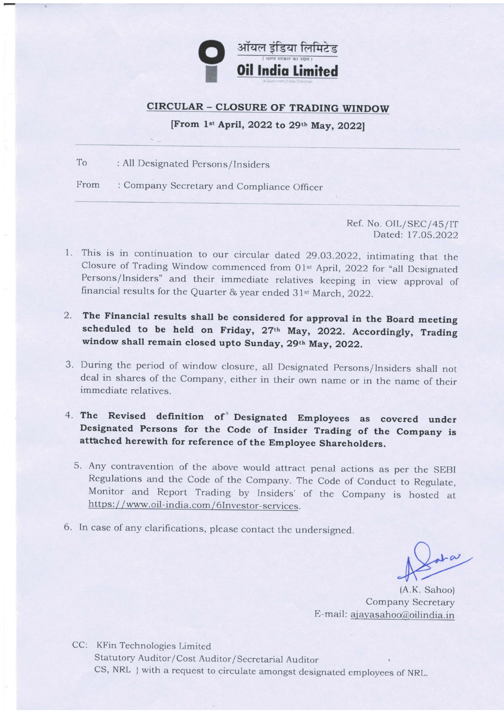

## **CIRCULAR - CLOSURE OF TRADING WINDOW**

[From 1st April, 2022 to 29th May, 2022]

To : All Designated Persons/Insiders

From : Company Secretary and Compliance Officer

> Ref. No. OIL/SEC/45/IT Dated: 17.05.2022

- 1. This is in continuation to our circular dated 29.03.2022, intimating that the Closure of Trading Window commenced from 01st April, 2022 for "all Designated Persons/lnsiders" and their immediate relatives keeping in view approval of financial results for the Quarter & year ended 31<sup>st</sup> March, 2022.
- 2. The Financial results shall be considered for approval in the Board meeting scheduled to be held on Friday, 27th May, 2022. Accordingly, Trading window shall remain closed upto Sunday, 29th May, 2022.
- 3. During the period of window closure, all Designated Persons/lnsiders shall not deal in shares of the Company, either in their own name or in the name of their immediate relatives.
- 4. The Revised definition of Designated Employees as covered under Designated Persons for the Code of Insider Trading of the Company is attached herewith for reference of the Employee Shareholders.
	- 5. Any contravention of the above would attract penal actions as per the SEBI Regulations and the Code of the Company. The Code of Conduct to Regulate, Monitor and Report Trading by Insiders' of the Company is hosted at https://www.oil-india.com/6Investor-services.
- 6. In case of any clarifications, please contact the undersigned.

 $L\alpha$ 

(A.K. Sahoo) Company Secretary E-mail: ajayasahoo@oilindia.in

CC: KFin Technologies Limited Statutory Auditor/Cost Auditor/Secretarial Auditor CS, NRL } with a request to circulate amongst designated employees of NRL.